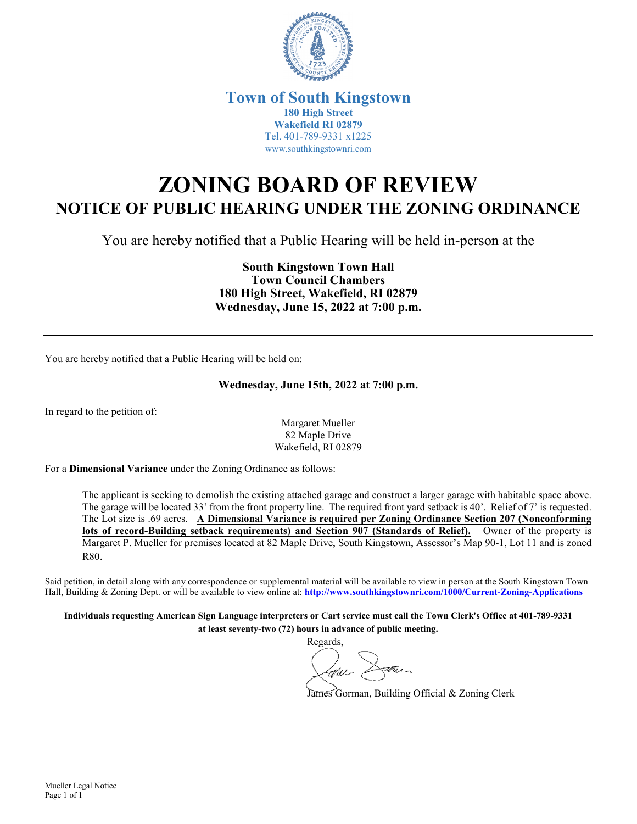

### **Town of South Kingstown 180 High Street Wakefield RI 02879** Tel. 401-789-9331 x1225 [www.southkingstownri.com](http://www.southkingstownri.com/)

# **ZONING BOARD OF REVIEW NOTICE OF PUBLIC HEARING UNDER THE ZONING ORDINANCE**

You are hereby notified that a Public Hearing will be held in-person at the

**South Kingstown Town Hall Town Council Chambers 180 High Street, Wakefield, RI 02879 Wednesday, June 15, 2022 at 7:00 p.m.** 

You are hereby notified that a Public Hearing will be held on:

#### **Wednesday, June 15th, 2022 at 7:00 p.m.**

In regard to the petition of:

Margaret Mueller 82 Maple Drive Wakefield, RI 02879

For a **Dimensional Variance** under the Zoning Ordinance as follows:

The applicant is seeking to demolish the existing attached garage and construct a larger garage with habitable space above. The garage will be located 33' from the front property line. The required front yard setback is 40'. Relief of 7' is requested. The Lot size is .69 acres. **A Dimensional Variance is required per Zoning Ordinance Section 207 (Nonconforming lots of record-Building setback requirements) and Section 907 (Standards of Relief).** Owner of the property is Margaret P. Mueller for premises located at 82 Maple Drive, South Kingstown, Assessor's Map 90-1, Lot 11 and is zoned R80.

Said petition, in detail along with any correspondence or supplemental material will be available to view in person at the South Kingstown Town Hall, Building & Zoning Dept. or will be available to view online at: **<http://www.southkingstownri.com/1000/Current-Zoning-Applications>**

**Individuals requesting American Sign Language interpreters or Cart service must call the Town Clerk's Office at 401-789-9331 at least seventy-two (72) hours in advance of public meeting.** 

Regards, Dann 4au -

James Gorman, Building Official & Zoning Clerk